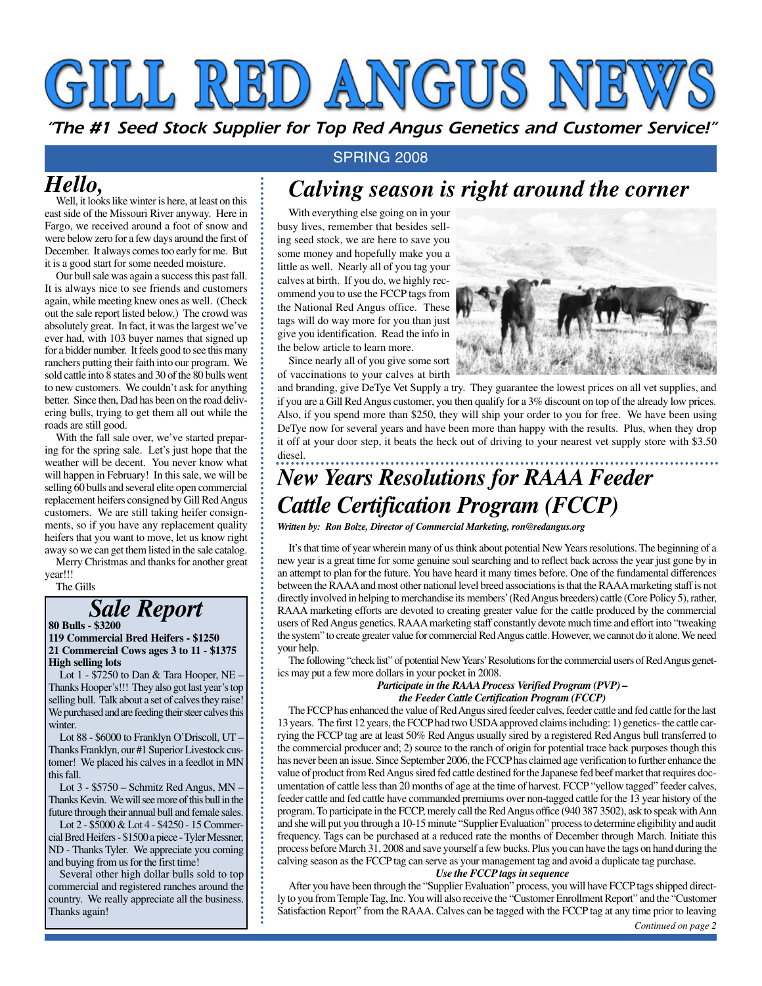# GIILL RED ANGUS N

*"The #1 Seed Stock Supplier for Top Red Angus Genetics and Customer Service!"*

### *Hello,*

Well, it looks like winter is here, at least on this east side of the Missouri River anyway. Here in Fargo, we received around a foot of snow and were below zero for a few days around the first of December. It always comes too early for me. But it is a good start for some needed moisture.

Our bull sale was again a success this past fall. It is always nice to see friends and customers again, while meeting knew ones as well. (Check out the sale report listed below.) The crowd was absolutely great. In fact, it was the largest we've ever had, with 103 buyer names that signed up for a bidder number. It feels good to see this many ranchers putting their faith into our program. We sold cattle into 8 states and 30 of the 80 bulls went to new customers. We couldn't ask for anything better. Since then, Dad has been on the road delivering bulls, trying to get them all out while the roads are still good.

With the fall sale over, we've started preparing for the spring sale. Let's just hope that the weather will be decent. You never know what will happen in February! In this sale, we will be selling 60 bulls and several elite open commercial replacement heifers consigned by Gill Red Angus customers. We are still taking heifer consignments, so if you have any replacement quality heifers that you want to move, let us know right away so we can get them listed in the sale catalog.

Merry Christmas and thanks for another great year!!!

The Gills

# *Sale Report* **80 Bulls - \$3200**

#### **119 Commercial Bred Heifers - \$1250 21 Commercial Cows ages 3 to 11 - \$1375 High selling lots**

Lot 1 - \$7250 to Dan & Tara Hooper, NE – Thanks Hooper's!!! They also got last year's top selling bull. Talk about a set of calves they raise! We purchased and are feeding their steer calves this winter.

Lot 88 - \$6000 to Franklyn O'Driscoll, UT – Thanks Franklyn, our #1 Superior Livestock customer! We placed his calves in a feedlot in MN this fall.

Lot 3 - \$5750 – Schmitz Red Angus, MN – Thanks Kevin. We will see more of this bull in the future through their annual bull and female sales.

Lot 2 - \$5000 & Lot 4 - \$4250 - 15 Commercial Bred Heifers - \$1500 a piece - Tyler Messner, ND - Thanks Tyler. We appreciate you coming and buying from us for the first time!

Several other high dollar bulls sold to top commercial and registered ranches around the country. We really appreciate all the business. Thanks again!

#### SPRING 2008

### *Calving season is right around the corner*

With everything else going on in your busy lives, remember that besides selling seed stock, we are here to save you some money and hopefully make you a little as well. Nearly all of you tag your calves at birth. If you do, we highly recommend you to use the FCCP tags from the National Red Angus office. These tags will do way more for you than just give you identification. Read the info in the below article to learn more.

Since nearly all of you give some sort of vaccinations to your calves at birth



and branding, give DeTye Vet Supply a try. They guarantee the lowest prices on all vet supplies, and if you are a Gill Red Angus customer, you then qualify for a 3% discount on top of the already low prices. Also, if you spend more than \$250, they will ship your order to you for free. We have been using DeTye now for several years and have been more than happy with the results. Plus, when they drop it off at your door step, it beats the heck out of driving to your nearest vet supply store with \$3.50 diesel.

### *New Years Resolutions for RAAA Feeder Cattle Certification Program (FCCP)*

*Written by: Ron Bolze, Director of Commercial Marketing, ron@redangus.org*

It'sthat time of year wherein many of us think about potential New Years resolutions. The beginning of a new year is a great time for some genuine soul searching and to reflect back across the year just gone by in an attempt to plan for the future. You have heard it many times before. One of the fundamental differences between the RAAA and most other national level breed associations is that the RAAA marketing staff is not directly involved in helping to merchandise its members'(Red Angus breeders) cattle (Core Policy 5), rather, RAAA marketing efforts are devoted to creating greater value for the cattle produced by the commercial users of Red Angus genetics. RAAAmarketing staff constantly devote much time and effort into "tweaking the system" to create greater value for commercial Red Angus cattle. However, we cannot do it alone. We need your help.

The following "check list" of potential New Years'Resolutions for the commercial users of Red Angus genetics may put a few more dollars in your pocket in 2008.

#### *Participate in the RAAAProcess Verified Program (PVP) – the Feeder Cattle Certification Program (FCCP)*

The FCCPhas enhanced the value of Red Angus sired feeder calves, feeder cattle and fed cattle for the last 13 years. The first 12 years, the FCCPhad two USDAapproved claims including: 1) genetics- the cattle carrying the FCCP tag are at least 50% Red Angus usually sired by a registered Red Angus bull transferred to the commercial producer and; 2) source to the ranch of origin for potential trace back purposes though this has never been an issue. Since September 2006, the FCCPhas claimed age verification to further enhance the value of product from Red Angus sired fed cattle destined for the Japanese fed beef market that requires documentation of cattle less than 20 months of age at the time of harvest. FCCP "yellow tagged" feeder calves, feeder cattle and fed cattle have commanded premiums over non-tagged cattle for the 13 year history of the program. To participate in the FCCP, merely call the Red Angus office (940 387 3502), ask to speak with Ann and she will put you through a 10-15 minute "Supplier Evaluation" process to determine eligibility and audit frequency. Tags can be purchased at a reduced rate the months of December through March. Initiate this process before March 31, 2008 and save yourself a few bucks. Plus you can have the tags on hand during the calving season as the FCCP tag can serve as your management tag and avoid a duplicate tag purchase. *Use the FCCPtags in sequence*

After you have been through the "Supplier Evaluation" process, you will have FCCP tags shipped directly to you from Temple Tag, Inc. You will also receive the "Customer Enrollment Report" and the "Customer Satisfaction Report" from the RAAA. Calves can be tagged with the FCCP tag at any time prior to leaving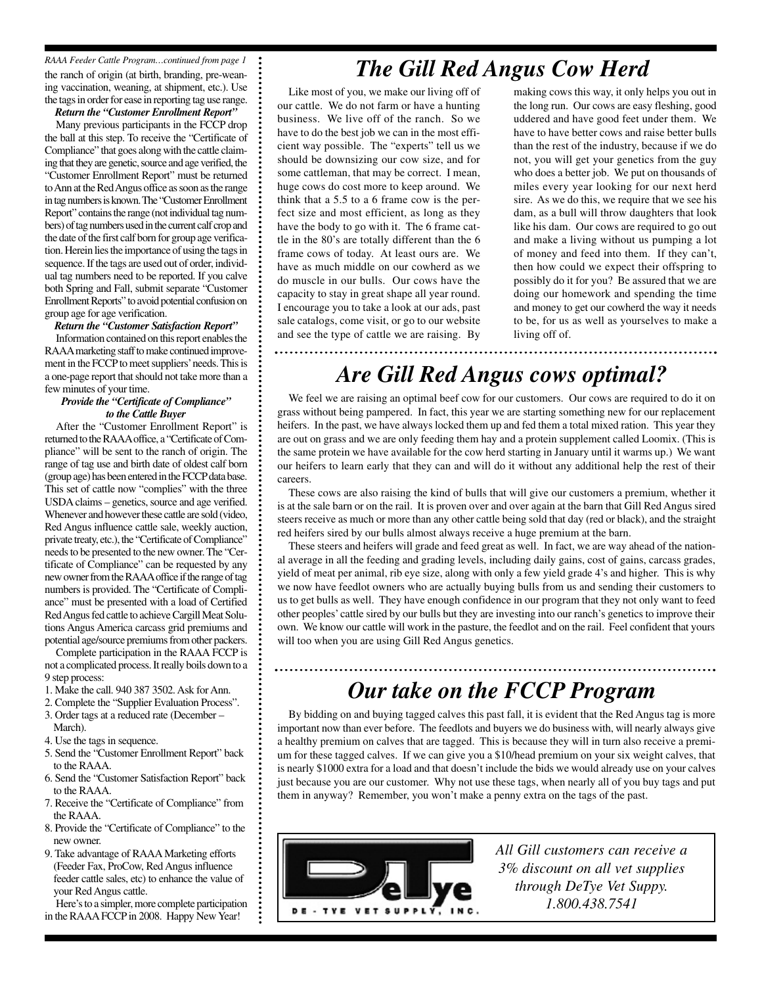the ranch of origin (at birth, branding, pre-weaning vaccination, weaning, at shipment, etc.). Use the tags in order for ease in reporting tag use range. *RAAA Feeder Cattle Program…continued from page 1*

*Return the "Customer Enrollment Report"* Many previous participants in the FCCP drop the ball at this step. To receive the "Certificate of Compliance" that goes along with the cattle claiming that they are genetic, source and age verified, the "Customer Enrollment Report" must be returned to Ann at the Red Angus office as soon as the range in tag numbers is known. The "Customer Enrollment Report" contains the range (not individual tag numbers) of tag numbers used in the current calf crop and the date of the first calf born for group age verification. Herein lies the importance of using the tags in sequence. If the tags are used out of order, individual tag numbers need to be reported. If you calve both Spring and Fall, submit separate "Customer Enrollment Reports" to avoid potential confusion on group age for age verification.

#### *Return the "Customer Satisfaction Report"*

Information contained on this report enables the RAAAmarketing staff to make continued improvement in the FCCPto meet suppliers'needs. This is a one-page report that should not take more than a few minutes of your time.

#### *Provide the "Certificate of Compliance" to the Cattle Buyer*

After the "Customer Enrollment Report" is returned to the RAAAoffice, a "Certificate of Compliance" will be sent to the ranch of origin. The range of tag use and birth date of oldest calf born (group age) has been entered in the FCCP data base. This set of cattle now "complies" with the three USDAclaims – genetics, source and age verified. Whenever and however these cattle are sold (video, Red Angus influence cattle sale, weekly auction, private treaty, etc.), the "Certificate of Compliance" needs to be presented to the new owner. The "Certificate of Compliance" can be requested by any new owner from the RAAAoffice if the range of tag numbers is provided. The "Certificate of Compliance" must be presented with a load of Certified Red Angus fed cattle to achieve Cargill Meat Solutions Angus America carcass grid premiums and potential age/source premiums from other packers.

Complete participation in the RAAA FCCP is not a complicated process. It really boils down to a 9 step process:

- 1. Make the call. 940 387 3502. Ask for Ann.
- 2. Complete the "Supplier Evaluation Process".
- 3. Order tags at a reduced rate (December March).
- 4. Use the tags in sequence.
- 5. Send the "Customer Enrollment Report" back to the RAAA.
- 6. Send the "Customer Satisfaction Report" back to the RAAA.
- 7. Receive the "Certificate of Compliance" from the RAAA.
- 8. Provide the "Certificate of Compliance" to the new owner.
- 9. Take advantage of RAAA Marketing efforts (Feeder Fax, ProCow, Red Angus influence feeder cattle sales, etc) to enhance the value of your Red Angus cattle.
- Here's to a simpler, more complete participation in the RAAAFCCP in 2008. Happy New Year!

## *The Gill Red Angus Cow Herd*

Like most of you, we make our living off of our cattle. We do not farm or have a hunting business. We live off of the ranch. So we have to do the best job we can in the most efficient way possible. The "experts" tell us we should be downsizing our cow size, and for some cattleman, that may be correct. I mean, huge cows do cost more to keep around. We think that a 5.5 to a 6 frame cow is the perfect size and most efficient, as long as they have the body to go with it. The 6 frame cattle in the 80's are totally different than the 6 frame cows of today. At least ours are. We have as much middle on our cowherd as we do muscle in our bulls. Our cows have the capacity to stay in great shape all year round. I encourage you to take a look at our ads, past sale catalogs, come visit, or go to our website and see the type of cattle we are raising. By

making cows this way, it only helps you out in the long run. Our cows are easy fleshing, good uddered and have good feet under them. We have to have better cows and raise better bulls than the rest of the industry, because if we do not, you will get your genetics from the guy who does a better job. We put on thousands of miles every year looking for our next herd sire. As we do this, we require that we see his dam, as a bull will throw daughters that look like his dam. Our cows are required to go out and make a living without us pumping a lot of money and feed into them. If they can't, then how could we expect their offspring to possibly do it for you? Be assured that we are doing our homework and spending the time and money to get our cowherd the way it needs to be, for us as well as yourselves to make a living off of.

### *Are Gill Red Angus cows optimal?*

We feel we are raising an optimal beef cow for our customers. Our cows are required to do it on grass without being pampered. In fact, this year we are starting something new for our replacement heifers. In the past, we have always locked them up and fed them a total mixed ration. This year they are out on grass and we are only feeding them hay and a protein supplement called Loomix. (This is the same protein we have available for the cow herd starting in January until it warms up.) We want our heifers to learn early that they can and will do it without any additional help the rest of their careers.

These cows are also raising the kind of bulls that will give our customers a premium, whether it is at the sale barn or on the rail. It is proven over and over again at the barn that Gill Red Angus sired steers receive as much or more than any other cattle being sold that day (red or black), and the straight red heifers sired by our bulls almost always receive a huge premium at the barn.

These steers and heifers will grade and feed great as well. In fact, we are way ahead of the national average in all the feeding and grading levels, including daily gains, cost of gains, carcass grades, yield of meat per animal, rib eye size, along with only a few yield grade 4's and higher. This is why we now have feedlot owners who are actually buying bulls from us and sending their customers to us to get bulls as well. They have enough confidence in our program that they not only want to feed other peoples' cattle sired by our bulls but they are investing into our ranch's genetics to improve their own. We know our cattle will work in the pasture, the feedlot and on the rail. Feel confident that yours will too when you are using Gill Red Angus genetics.

### *Our take on the FCCP Program*

By bidding on and buying tagged calves this past fall, it is evident that the Red Angus tag is more important now than ever before. The feedlots and buyers we do business with, will nearly always give a healthy premium on calves that are tagged. This is because they will in turn also receive a premium for these tagged calves. If we can give you a \$10/head premium on your six weight calves, that is nearly \$1000 extra for a load and that doesn't include the bids we would already use on your calves just because you are our customer. Why not use these tags, when nearly all of you buy tags and put them in anyway? Remember, you won't make a penny extra on the tags of the past.



*All Gill customers can receive a 3% discount on all vet supplies through DeTye Vet Suppy. 1.800.438.7541*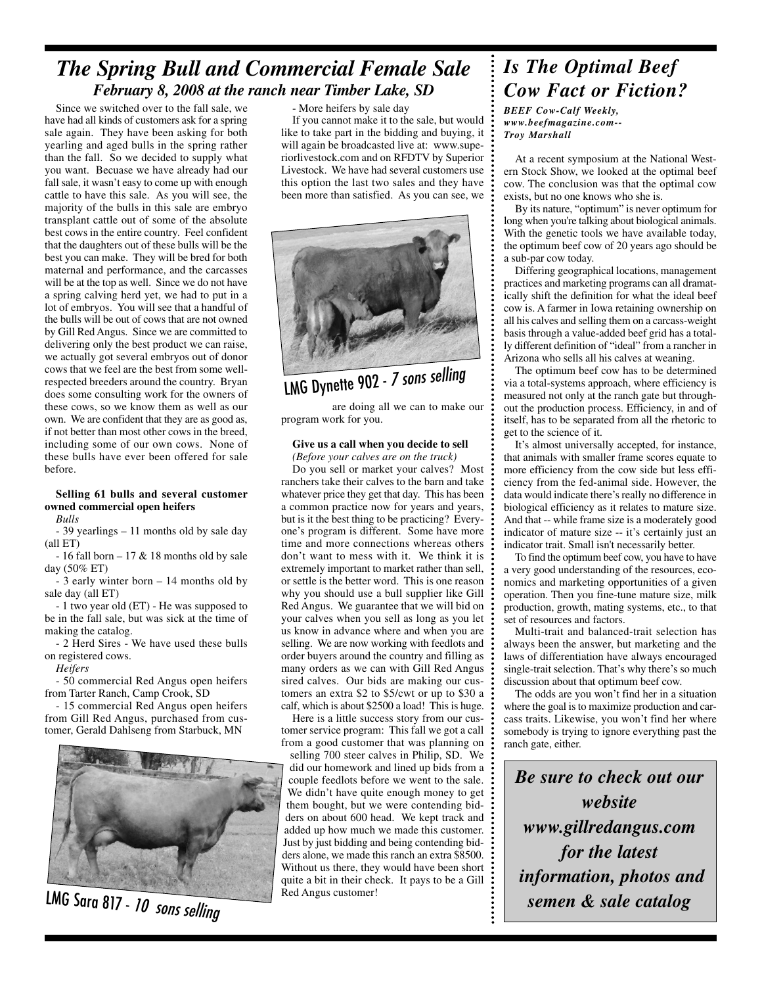### *The Spring Bull and Commercial Female Sale February 8, 2008 at the ranch near Timber Lake, SD*

Since we switched over to the fall sale, we have had all kinds of customers ask for a spring sale again. They have been asking for both yearling and aged bulls in the spring rather than the fall. So we decided to supply what you want. Becuase we have already had our fall sale, it wasn't easy to come up with enough cattle to have this sale. As you will see, the majority of the bulls in this sale are embryo transplant cattle out of some of the absolute best cows in the entire country. Feel confident that the daughters out of these bulls will be the best you can make. They will be bred for both maternal and performance, and the carcasses will be at the top as well. Since we do not have a spring calving herd yet, we had to put in a lot of embryos. You will see that a handful of the bulls will be out of cows that are not owned by Gill Red Angus. Since we are committed to delivering only the best product we can raise, we actually got several embryos out of donor cows that we feel are the best from some wellrespected breeders around the country. Bryan does some consulting work for the owners of these cows, so we know them as well as our own. We are confident that they are as good as, if not better than most other cows in the breed, including some of our own cows. None of these bulls have ever been offered for sale before.

#### **Selling 61 bulls and several customer owned commercial open heifers**

*Bulls*

- 39 yearlings – 11 months old by sale day (all ET)

- 16 fall born  $-17 & 18$  months old by sale day (50% ET)

- 3 early winter born – 14 months old by sale day (all ET)

- 1 two year old (ET) - He was supposed to be in the fall sale, but was sick at the time of making the catalog.

- 2 Herd Sires - We have used these bulls on registered cows.

*Heifers*

- 50 commercial Red Angus open heifers from Tarter Ranch, Camp Crook, SD

- 15 commercial Red Angus open heifers from Gill Red Angus, purchased from customer, Gerald Dahlseng from Starbuck, MN



LMG Sara 817 - *10* 

- More heifers by sale day

If you cannot make it to the sale, but would like to take part in the bidding and buying, it will again be broadcasted live at: www.superiorlivestock.com and on RFDTV by Superior Livestock. We have had several customers use this option the last two sales and they have been more than satisfied. As you can see, we



# LMG Dynette <sup>902</sup> - <sup>7</sup> sons selling

are doing all we can to make our program work for you.

#### **Give us a call when you decide to sell**

*(Before your calves are on the truck)*

Do you sell or market your calves? Most ranchers take their calves to the barn and take whatever price they get that day. This has been a common practice now for years and years, but is it the best thing to be practicing? Everyone's program is different. Some have more time and more connections whereas others don't want to mess with it. We think it is extremely important to market rather than sell, or settle is the better word. This is one reason why you should use a bull supplier like Gill Red Angus. We guarantee that we will bid on your calves when you sell as long as you let us know in advance where and when you are selling. We are now working with feedlots and order buyers around the country and filling as many orders as we can with Gill Red Angus sired calves. Our bids are making our customers an extra \$2 to \$5/cwt or up to \$30 a calf, which is about \$2500 a load! This is huge.

Here is a little success story from our customer service program: This fall we got a call from a good customer that was planning on

selling 700 steer calves in Philip, SD. We did our homework and lined up bids from a couple feedlots before we went to the sale. We didn't have quite enough money to get them bought, but we were contending bidders on about 600 head. We kept track and added up how much we made this customer. Just by just bidding and being contending bidders alone, we made this ranch an extra \$8500. Without us there, they would have been short quite a bit in their check. It pays to be a Gill Red Angus customer!

### *Is The Optimal Beef Cow Fact or Fiction?*

*BEEF Cow-Calf Weekly, www.beefmagazine.com-- Troy Marshall*

At a recent symposium at the National Western Stock Show, we looked at the optimal beef cow. The conclusion was that the optimal cow exists, but no one knows who she is.

By its nature, "optimum" is never optimum for long when you're talking about biological animals. With the genetic tools we have available today, the optimum beef cow of 20 years ago should be a sub-par cow today.

Differing geographical locations, management practices and marketing programs can all dramatically shift the definition for what the ideal beef cow is. A farmer in Iowa retaining ownership on all his calves and selling them on a carcass-weight basis through a value-added beef grid has a totally different definition of "ideal" from a rancher in Arizona who sells all his calves at weaning.

The optimum beef cow has to be determined via a total-systems approach, where efficiency is measured not only at the ranch gate but throughout the production process. Efficiency, in and of itself, has to be separated from all the rhetoric to get to the science of it.

It's almost universally accepted, for instance, that animals with smaller frame scores equate to more efficiency from the cow side but less efficiency from the fed-animal side. However, the data would indicate there's really no difference in biological efficiency as it relates to mature size. And that -- while frame size is a moderately good indicator of mature size -- it's certainly just an indicator trait. Small isn't necessarily better.

To find the optimum beef cow, you have to have a very good understanding of the resources, economics and marketing opportunities of a given operation. Then you fine-tune mature size, milk production, growth, mating systems, etc., to that set of resources and factors.

Multi-trait and balanced-trait selection has always been the answer, but marketing and the laws of differentiation have always encouraged single-trait selection. That's why there's so much discussion about that optimum beef cow.

The odds are you won't find her in a situation where the goal is to maximize production and carcass traits. Likewise, you won't find her where somebody is trying to ignore everything past the ranch gate, either.

*Be sure to check out our website www.gillredangus.com for the latest information, photos and semen & sale catalog*